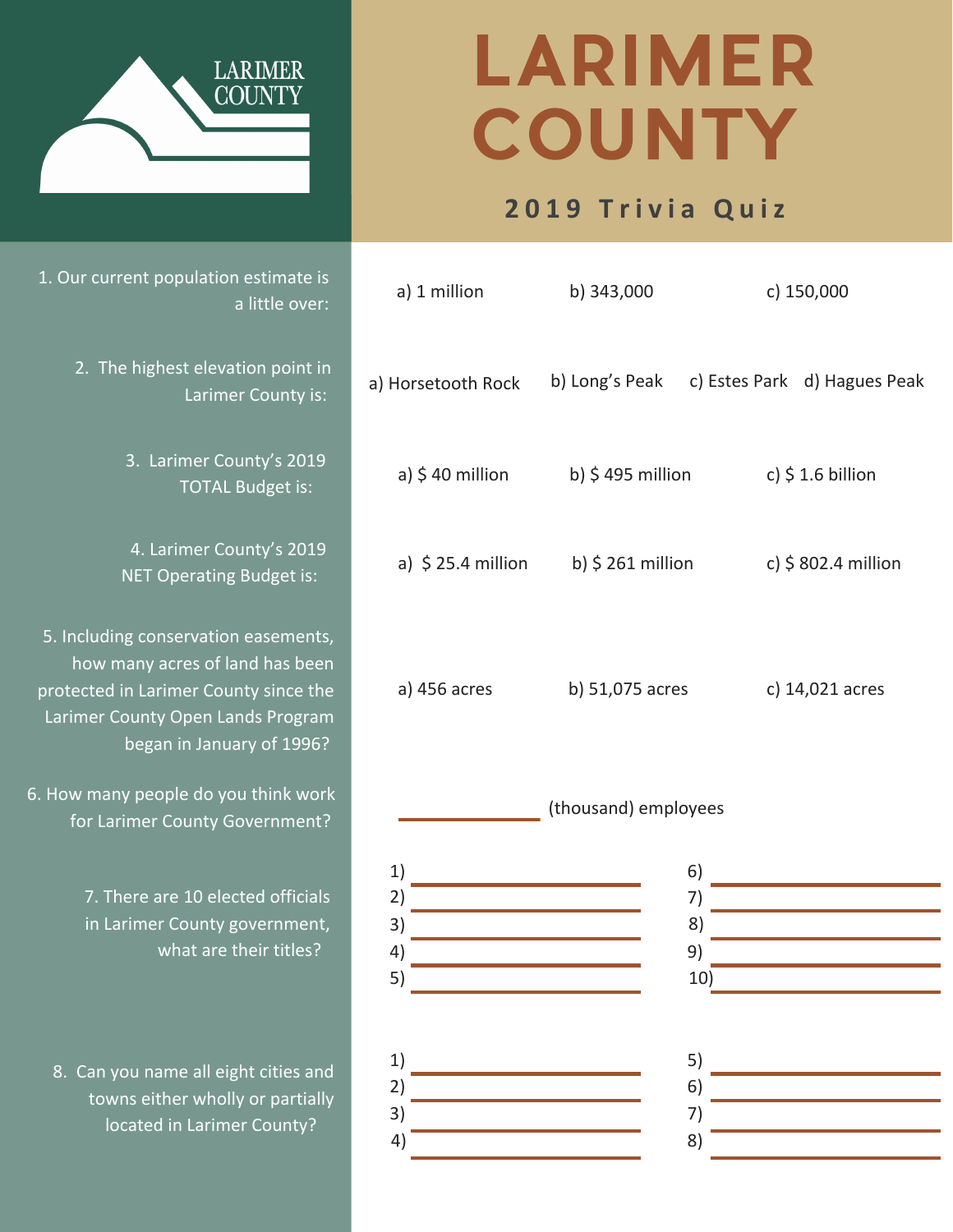## LARIMER COUNTY

## **2 0 1 9 T r i v i a Q u i z**

| b) Long's Peak c) Estes Park d) Hagues Peak                 |  |
|-------------------------------------------------------------|--|
|                                                             |  |
| a) $$25.4$ million b) $$261$ million<br>c) \$ 802.4 million |  |
|                                                             |  |
|                                                             |  |
|                                                             |  |
|                                                             |  |
|                                                             |  |
|                                                             |  |
|                                                             |  |
|                                                             |  |
|                                                             |  |
|                                                             |  |



1. Our current population estimate is a little over:

> 2. The highest elevation point in Larimer County is:

> > 3. Larimer County's 2019 TOTAL Budget is:

4. Larimer County's 2019 NET Operating Budget is:

5. Including conservation easements, how many acres of land has been protected in Larimer County since the Larimer County Open Lands Program began in January of 1996?

6. How many people do you think work for Larimer County Government?

> 7. There are 10 elected officials in Larimer County government, what are their titles?

8. Can you name all eight cities and towns either wholly or partially located in Larimer County?